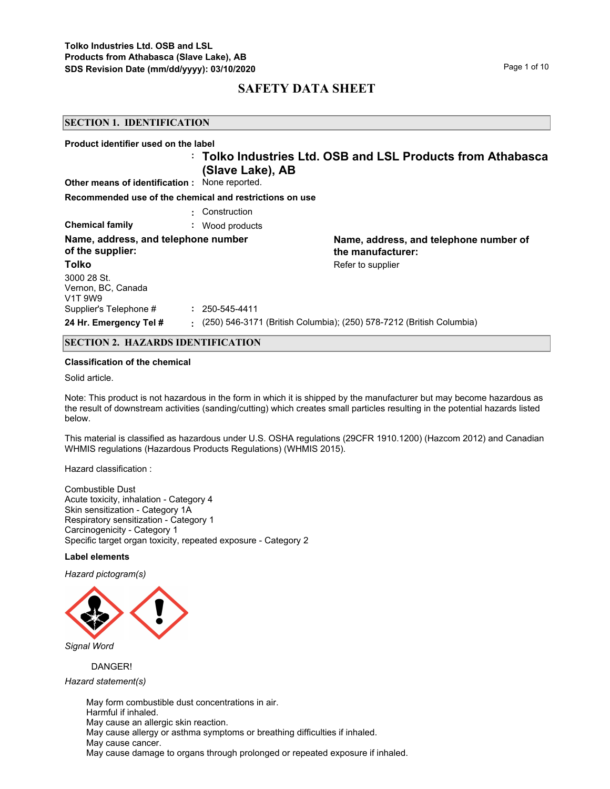#### **SECTION 1. IDENTIFICATION**

| Product identifier used on the label                                  |                      |                                                                        |
|-----------------------------------------------------------------------|----------------------|------------------------------------------------------------------------|
| <b>Other means of identification:</b> None reported.                  | (Slave Lake), AB     | : Tolko Industries Ltd. OSB and LSL Products from Athabasca            |
| Recommended use of the chemical and restrictions on use               |                      |                                                                        |
|                                                                       | : Construction       |                                                                        |
| <b>Chemical family</b><br>÷.                                          | Wood products        |                                                                        |
| Name, address, and telephone number<br>of the supplier:               |                      | Name, address, and telephone number of<br>the manufacturer:            |
| Tolko                                                                 |                      | Refer to supplier                                                      |
| 3000 28 St.<br>Vernon, BC, Canada<br>V <sub>1</sub> T 9W <sub>9</sub> |                      |                                                                        |
| Supplier's Telephone #                                                | $: 250 - 545 - 4411$ |                                                                        |
| 24 Hr. Emergency Tel #                                                |                      | : (250) 546-3171 (British Columbia); (250) 578-7212 (British Columbia) |
| <b>SECTION 2. HAZARDS IDENTIFICATION</b>                              |                      |                                                                        |

## **Classification of the chemical**

Solid article.

Note: This product is not hazardous in the form in which it is shipped by the manufacturer but may become hazardous as the result of downstream activities (sanding/cutting) which creates small particles resulting in the potential hazards listed below.

This material is classified as hazardous under U.S. OSHA regulations (29CFR 1910.1200) (Hazcom 2012) and Canadian WHMIS regulations (Hazardous Products Regulations) (WHMIS 2015).

Hazard classification :

Combustible Dust Acute toxicity, inhalation - Category 4 Skin sensitization - Category 1A Respiratory sensitization - Category 1 Carcinogenicity - Category 1 Specific target organ toxicity, repeated exposure - Category 2

#### **Label elements**

*Hazard pictogram(s)*



*Signal Word*

DANGER!

*Hazard statement(s)*

May form combustible dust concentrations in air. Harmful if inhaled. May cause an allergic skin reaction. May cause allergy or asthma symptoms or breathing difficulties if inhaled. May cause cancer. May cause damage to organs through prolonged or repeated exposure if inhaled.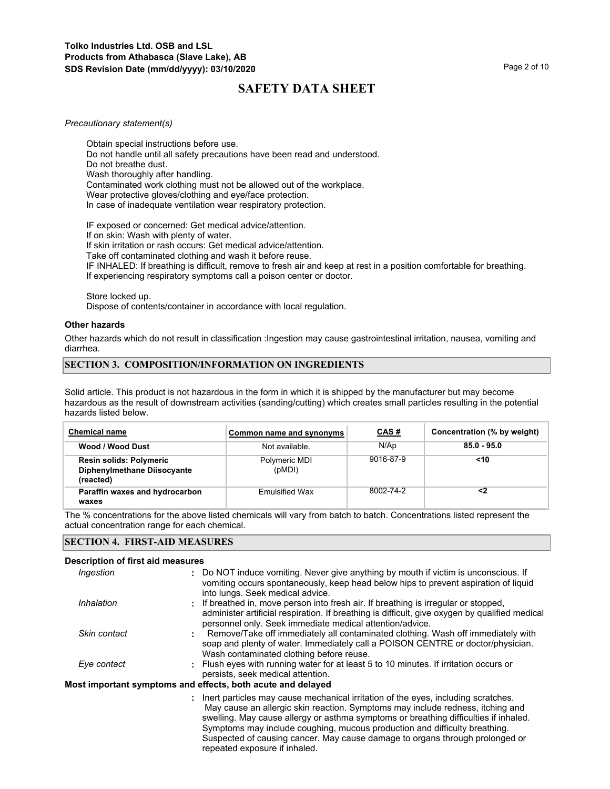#### *Precautionary statement(s)*

Obtain special instructions before use. Do not handle until all safety precautions have been read and understood. Do not breathe dust. Wash thoroughly after handling. Contaminated work clothing must not be allowed out of the workplace. Wear protective gloves/clothing and eye/face protection. In case of inadequate ventilation wear respiratory protection.

IF exposed or concerned: Get medical advice/attention. If on skin: Wash with plenty of water.

If skin irritation or rash occurs: Get medical advice/attention.

Take off contaminated clothing and wash it before reuse.

IF INHALED: If breathing is difficult, remove to fresh air and keep at rest in a position comfortable for breathing. If experiencing respiratory symptoms call a poison center or doctor.

Store locked up.

Dispose of contents/container in accordance with local regulation.

### **Other hazards**

Other hazards which do not result in classification :Ingestion may cause gastrointestinal irritation, nausea, vomiting and diarrhea.

## **SECTION 3. COMPOSITION/INFORMATION ON INGREDIENTS**

Solid article. This product is not hazardous in the form in which it is shipped by the manufacturer but may become hazardous as the result of downstream activities (sanding/cutting) which creates small particles resulting in the potential hazards listed below.

| <b>Chemical name</b>                                                       | Common name and synonyms | <u>CAS#</u> | Concentration (% by weight) |
|----------------------------------------------------------------------------|--------------------------|-------------|-----------------------------|
| Wood / Wood Dust                                                           | Not available.           | N/Ap        | $85.0 - 95.0$               |
| <b>Resin solids: Polymeric</b><br>Diphenylmethane Diisocyante<br>(reacted) | Polymeric MDI<br>(pMDI)  | 9016-87-9   | $<$ 10                      |
| Paraffin waxes and hydrocarbon<br>waxes                                    | <b>Emulsified Wax</b>    | 8002-74-2   | <2                          |

The % concentrations for the above listed chemicals will vary from batch to batch. Concentrations listed represent the actual concentration range for each chemical.

## **SECTION 4. FIRST-AID MEASURES**

## **Description of first aid measures**

| Ingestion    | : Do NOT induce vomiting. Never give anything by mouth if victim is unconscious. If<br>vomiting occurs spontaneously, keep head below hips to prevent aspiration of liquid<br>into lungs. Seek medical advice.                                                                                                                                                                                                                                               |
|--------------|--------------------------------------------------------------------------------------------------------------------------------------------------------------------------------------------------------------------------------------------------------------------------------------------------------------------------------------------------------------------------------------------------------------------------------------------------------------|
| Inhalation   | : If breathed in, move person into fresh air. If breathing is irregular or stopped,<br>administer artificial respiration. If breathing is difficult, give oxygen by qualified medical<br>personnel only. Seek immediate medical attention/advice.                                                                                                                                                                                                            |
| Skin contact | Remove/Take off immediately all contaminated clothing. Wash off immediately with<br>soap and plenty of water. Immediately call a POISON CENTRE or doctor/physician.<br>Wash contaminated clothing before reuse.                                                                                                                                                                                                                                              |
| Eye contact  | : Flush eyes with running water for at least 5 to 10 minutes. If irritation occurs or<br>persists, seek medical attention.                                                                                                                                                                                                                                                                                                                                   |
|              | Most important symptoms and effects, both acute and delayed                                                                                                                                                                                                                                                                                                                                                                                                  |
|              | : Inert particles may cause mechanical irritation of the eyes, including scratches.<br>May cause an allergic skin reaction. Symptoms may include redness, itching and<br>swelling. May cause allergy or asthma symptoms or breathing difficulties if inhaled.<br>Symptoms may include coughing, mucous production and difficulty breathing.<br>Suspected of causing cancer. May cause damage to organs through prolonged or<br>repeated exposure if inhaled. |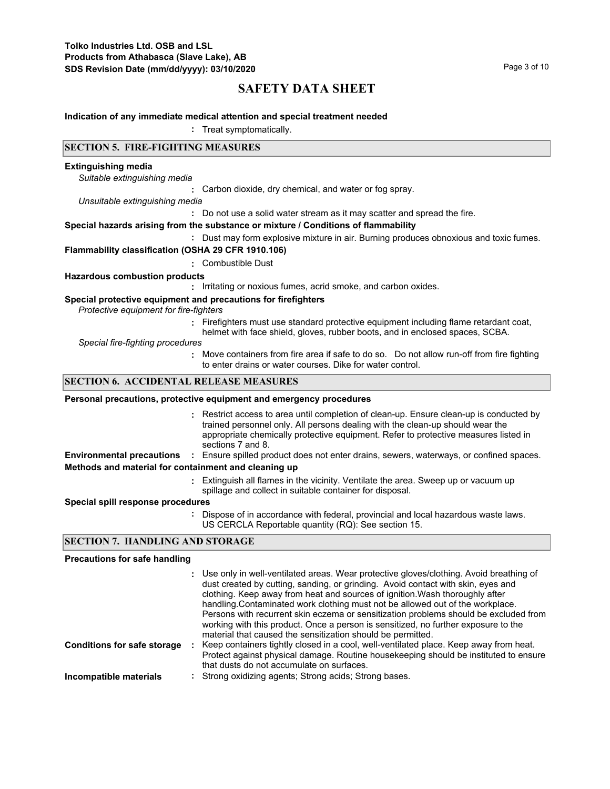#### **Indication of any immediate medical attention and special treatment needed**

**:** Treat symptomatically.

## **SECTION 5. FIRE-FIGHTING MEASURES**

#### **Extinguishing media**

*Suitable extinguishing media*

**:** Carbon dioxide, dry chemical, and water or fog spray.

*Unsuitable extinguishing media*

**:** Do not use a solid water stream as it may scatter and spread the fire.

#### **Special hazards arising from the substance or mixture / Conditions of flammability**

**:** Dust may form explosive mixture in air. Burning produces obnoxious and toxic fumes.

#### **Flammability classification (OSHA 29 CFR 1910.106)**

**:** Combustible Dust

#### **Hazardous combustion products**

**:** Irritating or noxious fumes, acrid smoke, and carbon oxides.

#### **Special protective equipment and precautions for firefighters**

*Protective equipment for fire-fighters*

**:** Firefighters must use standard protective equipment including flame retardant coat, helmet with face shield, gloves, rubber boots, and in enclosed spaces, SCBA.

*Special fire-fighting procedures*

**:** Move containers from fire area if safe to do so. Do not allow run-off from fire fighting to enter drains or water courses. Dike for water control.

## **SECTION 6. ACCIDENTAL RELEASE MEASURES**

#### **Personal precautions, protective equipment and emergency procedures**

- Restrict access to area until completion of clean-up. Ensure clean-up is conducted by **:** trained personnel only. All persons dealing with the clean-up should wear the appropriate chemically protective equipment. Refer to protective measures listed in sections 7 and 8.
- **Environmental precautions :** Ensure spilled product does not enter drains, sewers, waterways, or confined spaces.

# **Methods and material for containment and cleaning up**

Extinguish all flames in the vicinity. Ventilate the area. Sweep up or vacuum up **:** spillage and collect in suitable container for disposal.

#### **Special spill response procedures**

**:** Dispose of in accordance with federal, provincial and local hazardous waste laws. US CERCLA Reportable quantity (RQ): See section 15.

## **SECTION 7. HANDLING AND STORAGE**

#### **Precautions for safe handling**

|                                    | : Use only in well-ventilated areas. Wear protective gloves/clothing. Avoid breathing of<br>dust created by cutting, sanding, or grinding. Avoid contact with skin, eyes and<br>clothing. Keep away from heat and sources of ignition. Wash thoroughly after<br>handling. Contaminated work clothing must not be allowed out of the workplace.<br>Persons with recurrent skin eczema or sensitization problems should be excluded from<br>working with this product. Once a person is sensitized, no further exposure to the<br>material that caused the sensitization should be permitted. |
|------------------------------------|---------------------------------------------------------------------------------------------------------------------------------------------------------------------------------------------------------------------------------------------------------------------------------------------------------------------------------------------------------------------------------------------------------------------------------------------------------------------------------------------------------------------------------------------------------------------------------------------|
| <b>Conditions for safe storage</b> | Keep containers tightly closed in a cool, well-ventilated place. Keep away from heat.<br>Protect against physical damage. Routine housekeeping should be instituted to ensure<br>that dusts do not accumulate on surfaces.                                                                                                                                                                                                                                                                                                                                                                  |
| Incompatible materials             | : Strong oxidizing agents; Strong acids; Strong bases.                                                                                                                                                                                                                                                                                                                                                                                                                                                                                                                                      |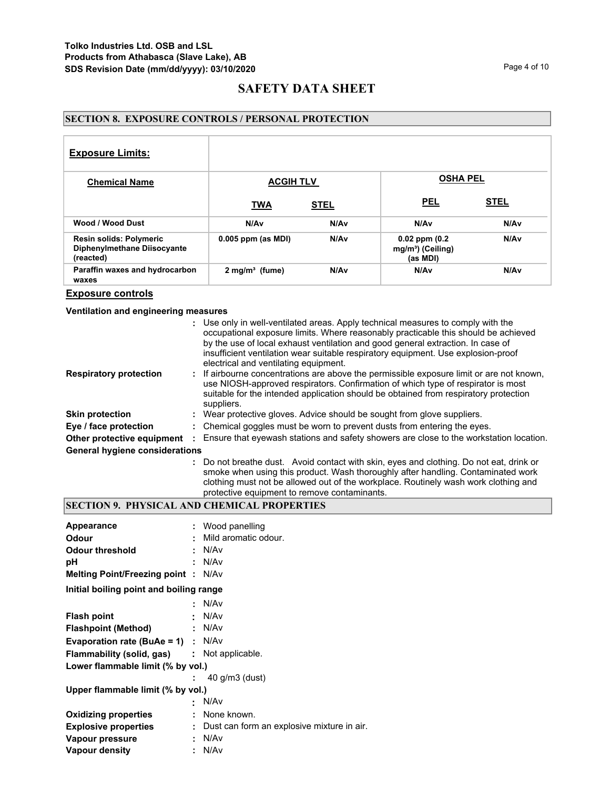# **SECTION 8. EXPOSURE CONTROLS / PERSONAL PROTECTION**

| <b>Exposure Limits:</b>                                                    |                              |                  |                                                                 |                  |
|----------------------------------------------------------------------------|------------------------------|------------------|-----------------------------------------------------------------|------------------|
| <b>Chemical Name</b>                                                       | <b>ACGIH TLV</b>             |                  | <b>OSHA PEL</b>                                                 |                  |
|                                                                            | <b>TWA</b>                   | <b>STEL</b>      | <b>PEL</b>                                                      | <b>STEL</b>      |
| Wood / Wood Dust                                                           | N/Av                         | N/A <sub>v</sub> | N/A <sub>v</sub>                                                | N/Av             |
| <b>Resin solids: Polymeric</b><br>Diphenylmethane Diisocyante<br>(reacted) | $0.005$ ppm (as MDI)         | N/A <sub>v</sub> | $0.02$ ppm $(0.2)$<br>mg/m <sup>3</sup> ) (Ceiling)<br>(as MDI) | N/A <sub>v</sub> |
| Paraffin waxes and hydrocarbon<br>waxes                                    | $2$ mg/m <sup>3</sup> (fume) | N/A <sub>v</sub> | N/Av                                                            | N/A <sub>v</sub> |

**Exposure controls**

**Ventilation and engineering measures**

|                                       | : Use only in well-ventilated areas. Apply technical measures to comply with the<br>occupational exposure limits. Where reasonably practicable this should be achieved<br>by the use of local exhaust ventilation and good general extraction. In case of<br>insufficient ventilation wear suitable respiratory equipment. Use explosion-proof<br>electrical and ventilating equipment. |
|---------------------------------------|-----------------------------------------------------------------------------------------------------------------------------------------------------------------------------------------------------------------------------------------------------------------------------------------------------------------------------------------------------------------------------------------|
| <b>Respiratory protection</b>         | : If airbourne concentrations are above the permissible exposure limit or are not known,<br>use NIOSH-approved respirators. Confirmation of which type of respirator is most<br>suitable for the intended application should be obtained from respiratory protection<br>suppliers.                                                                                                      |
| <b>Skin protection</b>                | : Wear protective gloves. Advice should be sought from glove suppliers.                                                                                                                                                                                                                                                                                                                 |
| Eye / face protection                 | : Chemical goggles must be worn to prevent dusts from entering the eyes.                                                                                                                                                                                                                                                                                                                |
| Other protective equipment :          | Ensure that eyewash stations and safety showers are close to the workstation location.                                                                                                                                                                                                                                                                                                  |
| <b>General hygiene considerations</b> |                                                                                                                                                                                                                                                                                                                                                                                         |
|                                       | : Do not breathe dust. Avoid contact with skin, eyes and clothing. Do not eat, drink or<br>smoke when using this product. Wash thoroughly after handling. Contaminated work<br>clothing must not be allowed out of the workplace. Routinely wash work clothing and                                                                                                                      |

# protective equipment to remove contaminants.

# **SECTION 9. PHYSICAL AND CHEMICAL PROPERTIES**

| Appearance                                         | : Wood panelling                             |
|----------------------------------------------------|----------------------------------------------|
| <b>Odour</b>                                       | Mild aromatic odour.                         |
| <b>Odour threshold</b>                             | : N/Av                                       |
| рH                                                 | N/Av                                         |
| <b>Melting Point/Freezing point: N/Av</b>          |                                              |
| Initial boiling point and boiling range            |                                              |
|                                                    | : N/Av                                       |
| <b>Flash point</b>                                 | : N/Av                                       |
| Flashpoint (Method)                                | : N/Av                                       |
| <b>Evaporation rate (BuAe = 1)</b> : $N/Av$        |                                              |
| <b>Flammability (solid, gas) : Not applicable.</b> |                                              |
| Lower flammable limit (% by vol.)                  |                                              |
|                                                    | 40 g/m3 (dust)                               |
| Upper flammable limit (% by vol.)                  |                                              |
|                                                    | N/Av                                         |
| <b>Oxidizing properties</b>                        | : None known.                                |
| <b>Explosive properties</b>                        | : Dust can form an explosive mixture in air. |
| Vapour pressure                                    | : N/Av                                       |
| <b>Vapour density</b>                              | : N/Av                                       |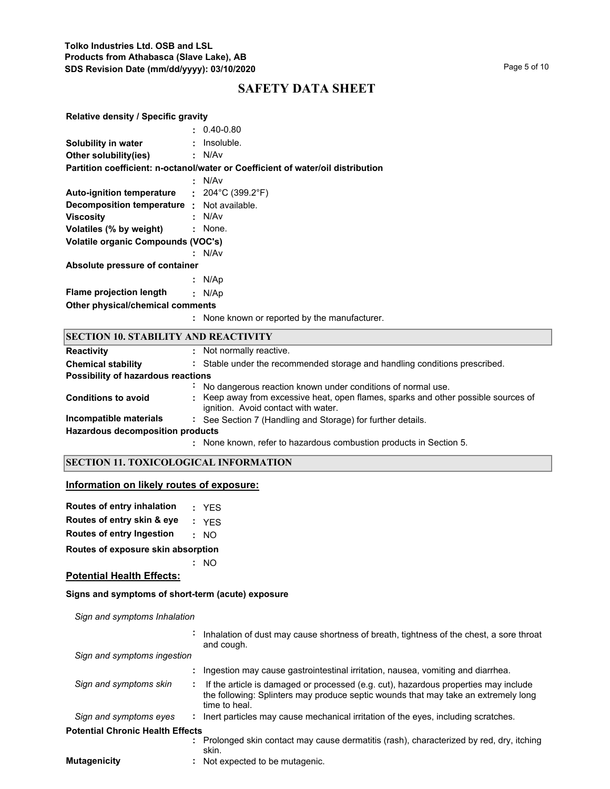| <b>Relative density / Specific gravity</b>  |                                                                                    |
|---------------------------------------------|------------------------------------------------------------------------------------|
|                                             | $: 0.40 - 0.80$                                                                    |
| Solubility in water                         | : Insoluble.                                                                       |
| Other solubility(ies)                       | : N/Av                                                                             |
|                                             | Partition coefficient: n-octanol/water or Coefficient of water/oil distribution    |
|                                             | : N/Av                                                                             |
| Auto-ignition temperature : 204°C (399.2°F) |                                                                                    |
| Decomposition temperature : Not available.  |                                                                                    |
| <b>Viscosity</b>                            | : N/Av                                                                             |
| Volatiles (% by weight)                     | : None.                                                                            |
| <b>Volatile organic Compounds (VOC's)</b>   |                                                                                    |
|                                             | : N/Av                                                                             |
| Absolute pressure of container              |                                                                                    |
|                                             | : $N/Ap$                                                                           |
| <b>Flame projection length</b>              | : $N/Ap$                                                                           |
| Other physical/chemical comments            |                                                                                    |
|                                             | : None known or reported by the manufacturer.                                      |
| <b>SECTION 10. STABILITY AND REACTIVITY</b> |                                                                                    |
| <b>Reactivity</b>                           | : Not normally reactive.                                                           |
| <b>Chemical stability</b>                   | : Stable under the recommended storage and handling conditions prescribed.         |
| Possibility of hazardous reactions          |                                                                                    |
|                                             | No dangerous reaction known under conditions of normal use.                        |
| <b>Conditions to avoid</b>                  | : Keep away from excessive heat, open flames, sparks and other possible sources of |

ignition. Avoid contact with water. **Incompatible materials :** See Section 7 (Handling and Storage) for further details.

**Hazardous decomposition products**

None known, refer to hazardous combustion products in Section 5. **:**

# **SECTION 11. TOXICOLOGICAL INFORMATION**

# **Information on likely routes of exposure:**

| Routes of entry inhalation | : YES                |
|----------------------------|----------------------|
| Routes of entry skin & eye | : YES                |
| Douten of entry Ingentian  | $\sim$ $\sim$ $\sim$ |

**Routes of entry Ingestion :** NO

**Routes of exposure skin absorption**

**:** NO

## **Potential Health Effects:**

## **Signs and symptoms of short-term (acute) exposure**

*Sign and symptoms Inhalation*

|                                         |    | Inhalation of dust may cause shortness of breath, tightness of the chest, a sore throat<br>and cough.                                                                                      |
|-----------------------------------------|----|--------------------------------------------------------------------------------------------------------------------------------------------------------------------------------------------|
| Sign and symptoms ingestion             |    |                                                                                                                                                                                            |
|                                         |    | Ingestion may cause gastrointestinal irritation, nausea, vomiting and diarrhea.                                                                                                            |
| Sign and symptoms skin                  |    | If the article is damaged or processed (e.g. cut), hazardous properties may include<br>the following: Splinters may produce septic wounds that may take an extremely long<br>time to heal. |
| Sign and symptoms eyes                  | ÷. | lnert particles may cause mechanical irritation of the eyes, including scratches.                                                                                                          |
| <b>Potential Chronic Health Effects</b> |    |                                                                                                                                                                                            |
|                                         |    | Prolonged skin contact may cause dermatitis (rash), characterized by red, dry, itching<br>skin.                                                                                            |
| <b>Mutagenicity</b>                     |    | Not expected to be mutagenic.                                                                                                                                                              |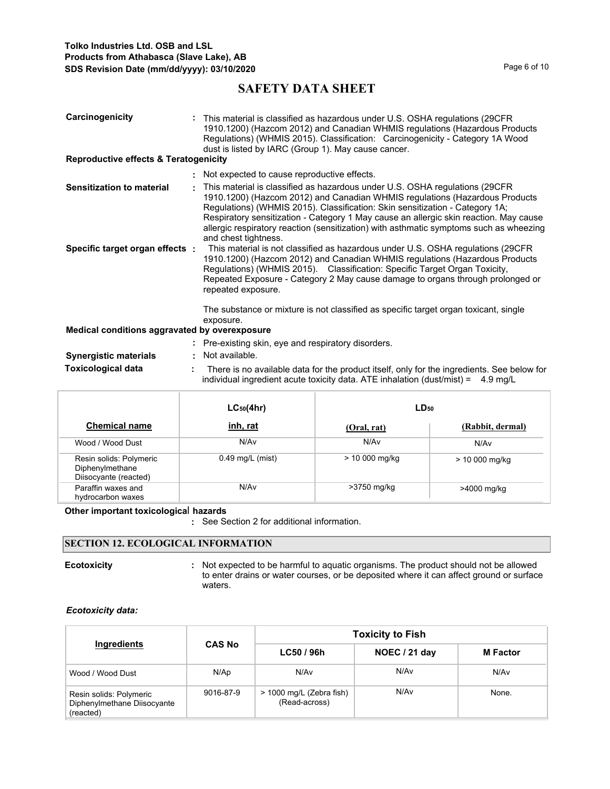| Carcinogenicity<br><b>Reproductive effects &amp; Teratogenicity</b> | : This material is classified as hazardous under U.S. OSHA regulations (29CFR)<br>1910.1200) (Hazcom 2012) and Canadian WHMIS regulations (Hazardous Products<br>Regulations) (WHMIS 2015). Classification: Carcinogenicity - Category 1A Wood<br>dust is listed by IARC (Group 1). May cause cancer.                                                                                                                                                 |
|---------------------------------------------------------------------|-------------------------------------------------------------------------------------------------------------------------------------------------------------------------------------------------------------------------------------------------------------------------------------------------------------------------------------------------------------------------------------------------------------------------------------------------------|
|                                                                     |                                                                                                                                                                                                                                                                                                                                                                                                                                                       |
|                                                                     | : Not expected to cause reproductive effects.                                                                                                                                                                                                                                                                                                                                                                                                         |
| <b>Sensitization to material</b>                                    | This material is classified as hazardous under U.S. OSHA regulations (29CFR<br>1910.1200) (Hazcom 2012) and Canadian WHMIS regulations (Hazardous Products<br>Regulations) (WHMIS 2015). Classification: Skin sensitization - Category 1A;<br>Respiratory sensitization - Category 1 May cause an allergic skin reaction. May cause<br>allergic respiratory reaction (sensitization) with asthmatic symptoms such as wheezing<br>and chest tightness. |
| Specific target organ effects :                                     | This material is not classified as hazardous under U.S. OSHA regulations (29CFR<br>1910.1200) (Hazcom 2012) and Canadian WHMIS regulations (Hazardous Products<br>Regulations) (WHMIS 2015). Classification: Specific Target Organ Toxicity,<br>Repeated Exposure - Category 2 May cause damage to organs through prolonged or<br>repeated exposure.                                                                                                  |
|                                                                     | The substance or mixture is not classified as specific target organ toxicant, single<br>exposure.                                                                                                                                                                                                                                                                                                                                                     |
| Medical conditions aggravated by overexposure                       |                                                                                                                                                                                                                                                                                                                                                                                                                                                       |
|                                                                     | : Pre-existing skin, eye and respiratory disorders.                                                                                                                                                                                                                                                                                                                                                                                                   |
| <b>Synergistic materials</b>                                        | : Not available.                                                                                                                                                                                                                                                                                                                                                                                                                                      |
| <b>Toxicological data</b>                                           | There is no available data for the product itself, only for the ingredients. See below for<br>individual ingredient acute toxicity data. ATE inhalation (dust/mist) = $4.9 \text{ mg/L}$                                                                                                                                                                                                                                                              |

|                                                                     | $LC_{50}(4hr)$     | $LD_{50}$       |                  |  |
|---------------------------------------------------------------------|--------------------|-----------------|------------------|--|
| <b>Chemical name</b>                                                | <u>inh, rat</u>    | (Oral, rat)     | (Rabbit, dermal) |  |
| Wood / Wood Dust                                                    | N/Av               | N/Av            | N/Av             |  |
| Resin solids: Polymeric<br>Diphenylmethane<br>Diisocyante (reacted) | $0.49$ mg/L (mist) | $> 10000$ mg/kg | $> 10000$ mg/kg  |  |
| Paraffin waxes and<br>hydrocarbon waxes                             | N/Av               | >3750 mg/kg     | >4000 mg/kg      |  |

## **Other important toxicologica**l **hazards**

**:** See Section 2 for additional information.

# **SECTION 12. ECOLOGICAL INFORMATION**

**Ecotoxicity Example 20 CON**: Not expected to be harmful to aquatic organisms. The product should not be allowed to enter drains or water courses, or be deposited where it can affect ground or surface waters.

## *Ecotoxicity data:*

|                                                                     |               | <b>Toxicity to Fish</b>                   |               |                 |  |  |
|---------------------------------------------------------------------|---------------|-------------------------------------------|---------------|-----------------|--|--|
| Ingredients                                                         | <b>CAS No</b> | LC50/96h                                  | NOEC / 21 day | <b>M</b> Factor |  |  |
| Wood / Wood Dust                                                    | N/Ap          | N/A <sub>v</sub>                          | N/Av          | N/Av            |  |  |
| Resin solids: Polymeric<br>Diphenylmethane Diisocyante<br>(reacted) | 9016-87-9     | > 1000 mg/L (Zebra fish)<br>(Read-across) | N/Av          | None.           |  |  |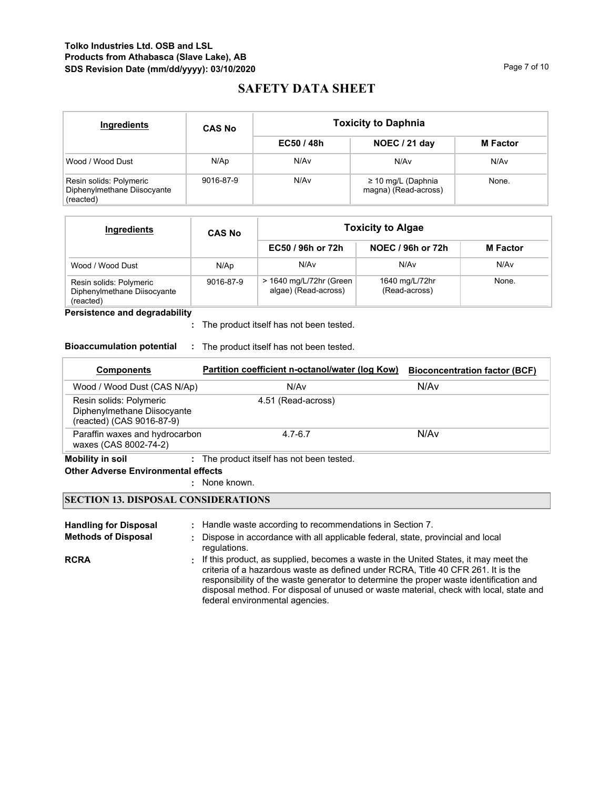# **Tolko Industries Ltd. OSB and LSL Products from Athabasca (Slave Lake), AB SDS Revision Date (mm/dd/yyyy): 03/10/2020 Page 7 of 10** Page 7 of 10

# **SAFETY DATA SHEET**

| <b>Ingredients</b>                                                  | <b>CAS No</b> |          | <b>Toxicity to Daphnia</b>                      |                 |
|---------------------------------------------------------------------|---------------|----------|-------------------------------------------------|-----------------|
|                                                                     |               | EC50/48h | NOEC / 21 day                                   | <b>M</b> Factor |
| Wood / Wood Dust                                                    | N/Ap          | N/Av     | N/Av                                            | N/Av            |
| Resin solids: Polymeric<br>Diphenylmethane Diisocyante<br>(reacted) | 9016-87-9     | N/Av     | $\geq$ 10 mg/L (Daphnia<br>magna) (Read-across) | None.           |

| Ingredients                                                         | <b>CAS No</b> | <b>Toxicity to Algae</b>                        |                                 |                 |  |
|---------------------------------------------------------------------|---------------|-------------------------------------------------|---------------------------------|-----------------|--|
|                                                                     |               | EC50 / 96h or 72h                               | NOEC / 96h or 72h               | <b>M</b> Factor |  |
| Wood / Wood Dust                                                    | N/Ap          | N/Av                                            | N/Av                            | N/Av            |  |
| Resin solids: Polymeric<br>Diphenylmethane Diisocyante<br>(reacted) | 9016-87-9     | > 1640 mg/L/72hr (Green<br>algae) (Read-across) | 1640 mg/L/72hr<br>(Read-across) | None.           |  |

**Persistence and degradability**

The product itself has not been tested. **:**

## **Bioaccumulation potential :** The product itself has not been tested.

| <b>Components</b>                                                                   | Partition coefficient n-octanol/water (log Kow) | <b>Bioconcentration factor (BCF)</b> |
|-------------------------------------------------------------------------------------|-------------------------------------------------|--------------------------------------|
| Wood / Wood Dust (CAS N/Ap)                                                         | N/Av                                            | N/Av                                 |
| Resin solids: Polymeric<br>Diphenylmethane Diisocyante<br>(reacted) (CAS 9016-87-9) | 4.51 (Read-across)                              |                                      |
| Paraffin waxes and hydrocarbon<br>waxes (CAS 8002-74-2)                             | $4.7 - 6.7$                                     | N/Av                                 |

**Mobility in soil :** The product itself has not been tested.

# **Other Adverse Environmental effects**

: None known.

# **SECTION 13. DISPOSAL CONSIDERATIONS**

| <b>Handling for Disposal</b><br><b>Methods of Disposal</b> | : Handle waste according to recommendations in Section 7.<br>Dispose in accordance with all applicable federal, state, provincial and local<br>regulations.                                                                                                                                                                                                                                      |
|------------------------------------------------------------|--------------------------------------------------------------------------------------------------------------------------------------------------------------------------------------------------------------------------------------------------------------------------------------------------------------------------------------------------------------------------------------------------|
| <b>RCRA</b>                                                | . If this product, as supplied, becomes a waste in the United States, it may meet the<br>criteria of a hazardous waste as defined under RCRA, Title 40 CFR 261. It is the<br>responsibility of the waste generator to determine the proper waste identification and<br>disposal method. For disposal of unused or waste material, check with local, state and<br>federal environmental agencies. |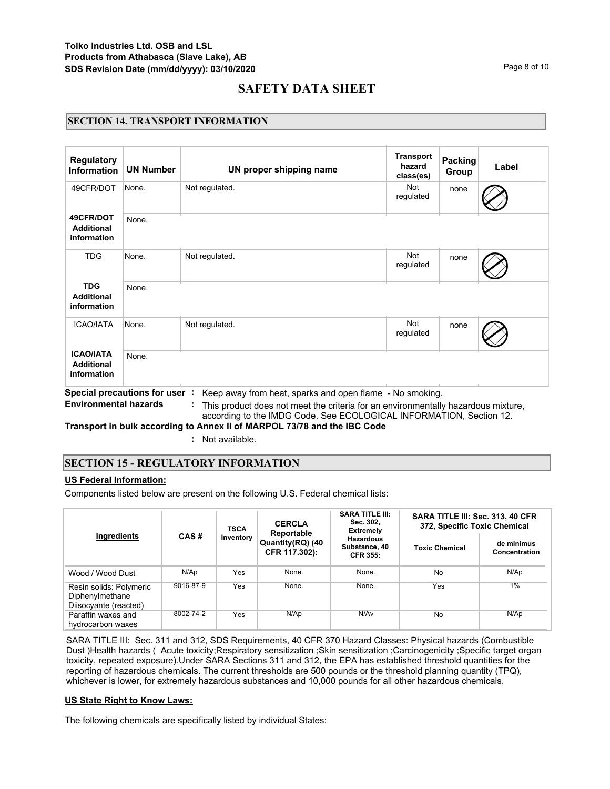## **SECTION 14. TRANSPORT INFORMATION**

| <b>Regulatory</b><br><b>Information</b>              | <b>UN Number</b> | UN proper shipping name                                                                                                                                                                                                                             | <b>Transport</b><br>hazard<br>class(es) | <b>Packing</b><br>Group | Label |
|------------------------------------------------------|------------------|-----------------------------------------------------------------------------------------------------------------------------------------------------------------------------------------------------------------------------------------------------|-----------------------------------------|-------------------------|-------|
| 49CFR/DOT                                            | None.            | Not regulated.                                                                                                                                                                                                                                      | <b>Not</b><br>regulated                 | none                    |       |
| 49CFR/DOT<br><b>Additional</b><br>information        | None.            |                                                                                                                                                                                                                                                     |                                         |                         |       |
| <b>TDG</b>                                           | None.            | Not regulated.                                                                                                                                                                                                                                      | <b>Not</b><br>regulated                 | none                    |       |
| <b>TDG</b><br><b>Additional</b><br>information       | None.            |                                                                                                                                                                                                                                                     |                                         |                         |       |
| <b>ICAO/IATA</b>                                     | None.            | Not regulated.                                                                                                                                                                                                                                      | <b>Not</b><br>regulated                 | none                    |       |
| <b>ICAO/IATA</b><br><b>Additional</b><br>information | None.            |                                                                                                                                                                                                                                                     |                                         |                         |       |
| <b>Environmental hazards</b>                         |                  | Special precautions for user : Keep away from heat, sparks and open flame - No smoking.<br>This product does not meet the criteria for an environmentally hazardous mixture,<br>according to the IMDG Code. See ECOLOGICAL INFORMATION, Section 12. |                                         |                         |       |

**Transport in bulk according to Annex II of MARPOL 73/78 and the IBC Code**

**:** Not available.

## **SECTION 15 - REGULATORY INFORMATION**

## **US Federal Information:**

Components listed below are present on the following U.S. Federal chemical lists:

|                                                                     |           | <b>TSCA</b> | <b>CERCLA</b><br>Reportable       | <b>SARA TITLE III:</b><br>Sec. 302.<br><b>Extremely</b> | SARA TITLE III: Sec. 313, 40 CFR<br>372, Specific Toxic Chemical |                             |  |  |
|---------------------------------------------------------------------|-----------|-------------|-----------------------------------|---------------------------------------------------------|------------------------------------------------------------------|-----------------------------|--|--|
| Ingredients                                                         | CAS#      | Inventory   | Quantity(RQ) (40<br>CFR 117.302): | <b>Hazardous</b><br>Substance, 40<br><b>CFR 355:</b>    | <b>Toxic Chemical</b>                                            | de minimus<br>Concentration |  |  |
| Wood / Wood Dust                                                    | N/Ap      | Yes         | None.                             | None.                                                   | No                                                               | N/Ap                        |  |  |
| Resin solids: Polymeric<br>Diphenylmethane<br>Diisocyante (reacted) | 9016-87-9 | Yes         | None.                             | None.                                                   | Yes                                                              | 1%                          |  |  |
| Paraffin waxes and<br>hydrocarbon waxes                             | 8002-74-2 | Yes         | N/Ap                              | N/Av                                                    | No                                                               | N/Ap                        |  |  |

SARA TITLE III: Sec. 311 and 312, SDS Requirements, 40 CFR 370 Hazard Classes: Physical hazards (Combustible Dust )Health hazards ( Acute toxicity;Respiratory sensitization ;Skin sensitization ;Carcinogenicity ;Specific target organ toxicity, repeated exposure).Under SARA Sections 311 and 312, the EPA has established threshold quantities for the reporting of hazardous chemicals. The current thresholds are 500 pounds or the threshold planning quantity (TPQ), whichever is lower, for extremely hazardous substances and 10,000 pounds for all other hazardous chemicals.

## **US State Right to Know Laws:**

The following chemicals are specifically listed by individual States: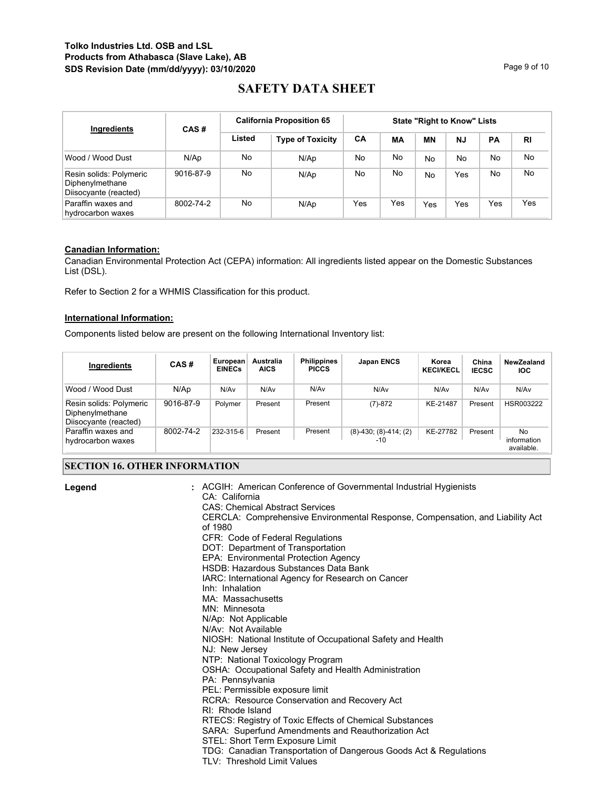# **Tolko Industries Ltd. OSB and LSL Products from Athabasca (Slave Lake), AB SDS Revision Date (mm/dd/yyyy): 03/10/2020 Page 9 of 10** Page 9 of 10

# **SAFETY DATA SHEET**

| Ingredients                                                         | <b>California Proposition 65</b><br>CAS# |        | <b>State "Right to Know" Lists</b> |     |     |           |           |     |           |
|---------------------------------------------------------------------|------------------------------------------|--------|------------------------------------|-----|-----|-----------|-----------|-----|-----------|
|                                                                     |                                          | Listed | <b>Type of Toxicity</b>            | CA  | МA  | <b>MN</b> | <b>NJ</b> | PA  | <b>RI</b> |
| Wood / Wood Dust                                                    | N/Ap                                     | No.    | N/Ap                               | No  | No  | No        | No        | No  | No.       |
| Resin solids: Polymeric<br>Diphenylmethane<br>Diisocyante (reacted) | 9016-87-9                                | No.    | N/Ap                               | No  | No  | No        | Yes       | No  | No.       |
| Paraffin waxes and<br>hydrocarbon waxes                             | 8002-74-2                                | No.    | N/Ap                               | Yes | Yes | Yes       | Yes       | Yes | Yes       |

## **Canadian Information:**

Canadian Environmental Protection Act (CEPA) information: All ingredients listed appear on the Domestic Substances List (DSL).

Refer to Section 2 for a WHMIS Classification for this product.

## **International Information:**

Components listed below are present on the following International Inventory list:

| Ingredients                                                         | CAS#      | European<br><b>EINECs</b> | <b>Australia</b><br><b>AICS</b> | <b>Philippines</b><br><b>PICCS</b> | Japan ENCS                    | Korea<br><b>KECI/KECL</b> | China<br><b>IECSC</b> | NewZealand<br><b>IOC</b>        |
|---------------------------------------------------------------------|-----------|---------------------------|---------------------------------|------------------------------------|-------------------------------|---------------------------|-----------------------|---------------------------------|
| Wood / Wood Dust                                                    | N/Ap      | N/Av                      | N/Av                            | N/Av                               | N/Av                          | N/Av                      | N/Av                  | N/Av                            |
| Resin solids: Polymeric<br>Diphenylmethane<br>Diisocyante (reacted) | 9016-87-9 | Polymer                   | Present                         | Present                            | $(7)-872$                     | KE-21487                  | Present               | HSR003222                       |
| Paraffin waxes and<br>hydrocarbon waxes                             | 8002-74-2 | 232-315-6                 | Present                         | Present                            | $(8)-430$ ; $(8)-414$ ; $(2)$ | KE-27782                  | Present               | No<br>information<br>available. |

# **SECTION 16. OTHER INFORMATION**

| Legend | : ACGIH: American Conference of Governmental Industrial Hygienists<br>CA: California<br><b>CAS: Chemical Abstract Services</b><br>CERCLA: Comprehensive Environmental Response, Compensation, and Liability Act<br>of 1980<br>CFR: Code of Federal Regulations<br>DOT: Department of Transportation<br>EPA: Environmental Protection Agency<br>HSDB: Hazardous Substances Data Bank<br>IARC: International Agency for Research on Cancer<br>Inh: Inhalation<br>MA: Massachusetts<br>MN: Minnesota<br>N/Ap: Not Applicable<br>N/Av: Not Available<br>NIOSH: National Institute of Occupational Safety and Health<br>NJ: New Jersey<br>NTP: National Toxicology Program<br>OSHA: Occupational Safety and Health Administration<br>PA: Pennsylvania<br>PEL: Permissible exposure limit<br>RCRA: Resource Conservation and Recovery Act<br>RI: Rhode Island<br>RTECS: Registry of Toxic Effects of Chemical Substances<br>SARA: Superfund Amendments and Reauthorization Act<br>STEL: Short Term Exposure Limit<br>TDG: Canadian Transportation of Dangerous Goods Act & Regulations<br>TLV: Threshold Limit Values |
|--------|-----------------------------------------------------------------------------------------------------------------------------------------------------------------------------------------------------------------------------------------------------------------------------------------------------------------------------------------------------------------------------------------------------------------------------------------------------------------------------------------------------------------------------------------------------------------------------------------------------------------------------------------------------------------------------------------------------------------------------------------------------------------------------------------------------------------------------------------------------------------------------------------------------------------------------------------------------------------------------------------------------------------------------------------------------------------------------------------------------------------|
|--------|-----------------------------------------------------------------------------------------------------------------------------------------------------------------------------------------------------------------------------------------------------------------------------------------------------------------------------------------------------------------------------------------------------------------------------------------------------------------------------------------------------------------------------------------------------------------------------------------------------------------------------------------------------------------------------------------------------------------------------------------------------------------------------------------------------------------------------------------------------------------------------------------------------------------------------------------------------------------------------------------------------------------------------------------------------------------------------------------------------------------|